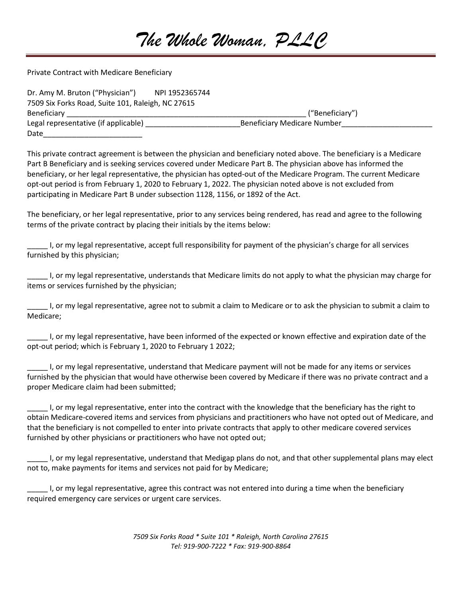## *The Whole Woman, PLLC*

Private Contract with Medicare Beneficiary

| Dr. Amy M. Bruton ("Physician")                   | NPI 1952365744 |                                    |  |
|---------------------------------------------------|----------------|------------------------------------|--|
| 7509 Six Forks Road, Suite 101, Raleigh, NC 27615 |                |                                    |  |
| Beneficiary                                       |                | ("Beneficiary")                    |  |
| Legal representative (if applicable)              |                | <b>Beneficiary Medicare Number</b> |  |
| Date                                              |                |                                    |  |

This private contract agreement is between the physician and beneficiary noted above. The beneficiary is a Medicare Part B Beneficiary and is seeking services covered under Medicare Part B. The physician above has informed the beneficiary, or her legal representative, the physician has opted-out of the Medicare Program. The current Medicare opt-out period is from February 1, 2020 to February 1, 2022. The physician noted above is not excluded from participating in Medicare Part B under subsection 1128, 1156, or 1892 of the Act.

The beneficiary, or her legal representative, prior to any services being rendered, has read and agree to the following terms of the private contract by placing their initials by the items below:

I, or my legal representative, accept full responsibility for payment of the physician's charge for all services furnished by this physician;

\_\_\_\_\_ I, or my legal representative, understands that Medicare limits do not apply to what the physician may charge for items or services furnished by the physician;

\_\_\_\_\_ I, or my legal representative, agree not to submit a claim to Medicare or to ask the physician to submit a claim to Medicare;

\_\_\_\_\_ I, or my legal representative, have been informed of the expected or known effective and expiration date of the opt-out period; which is February 1, 2020 to February 1 2022;

\_\_\_\_\_ I, or my legal representative, understand that Medicare payment will not be made for any items or services furnished by the physician that would have otherwise been covered by Medicare if there was no private contract and a proper Medicare claim had been submitted;

\_\_\_\_\_ I, or my legal representative, enter into the contract with the knowledge that the beneficiary has the right to obtain Medicare-covered items and services from physicians and practitioners who have not opted out of Medicare, and that the beneficiary is not compelled to enter into private contracts that apply to other medicare covered services furnished by other physicians or practitioners who have not opted out;

I, or my legal representative, understand that Medigap plans do not, and that other supplemental plans may elect not to, make payments for items and services not paid for by Medicare;

\_\_\_\_\_ I, or my legal representative, agree this contract was not entered into during a time when the beneficiary required emergency care services or urgent care services.

> *7509 Six Forks Road \* Suite 101 \* Raleigh, North Carolina 27615 Tel: 919-900-7222 \* Fax: 919-900-8864*